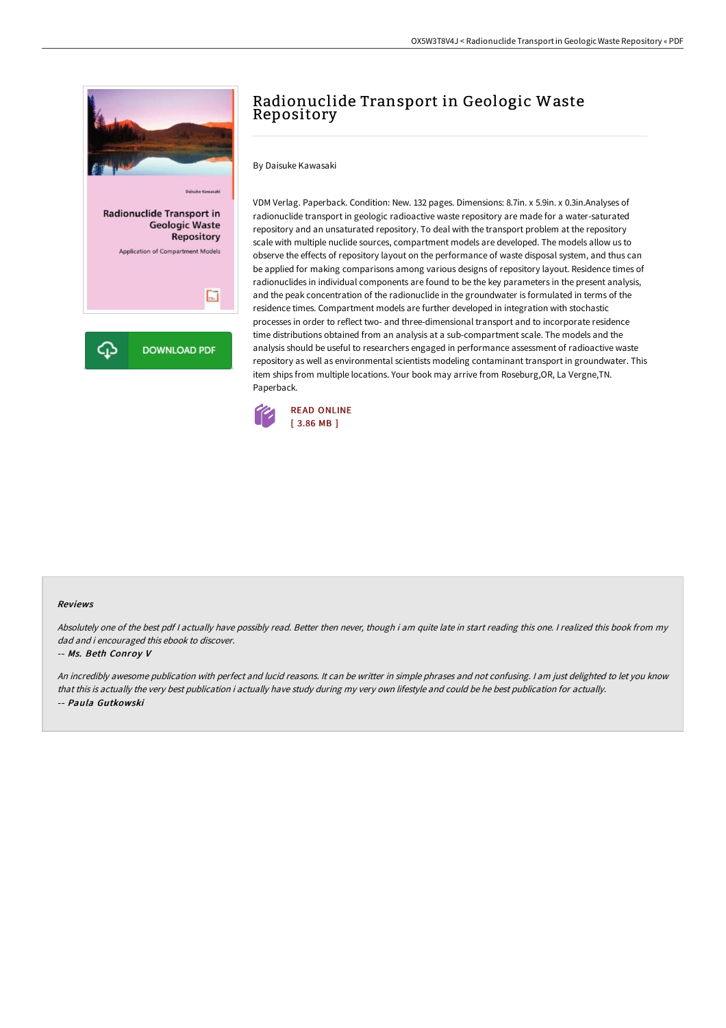

# Radionuclide Transport in Geologic Waste Repository

By Daisuke Kawasaki

VDM Verlag. Paperback. Condition: New. 132 pages. Dimensions: 8.7in. x 5.9in. x 0.3in.Analyses of radionuclide transport in geologic radioactive waste repository are made for a water-saturated repository and an unsaturated repository. To deal with the transport problem at the repository scale with multiple nuclide sources, compartment models are developed. The models allow us to observe the effects of repository layout on the performance of waste disposal system, and thus can be applied for making comparisons among various designs of repository layout. Residence times of radionuclides in individual components are found to be the key parameters in the present analysis, and the peak concentration of the radionuclide in the groundwater is formulated in terms of the residence times. Compartment models are further developed in integration with stochastic processes in order to reflect two- and three-dimensional transport and to incorporate residence time distributions obtained from an analysis at a sub-compartment scale. The models and the analysis should be useful to researchers engaged in performance assessment of radioactive waste repository as well as environmental scientists modeling contaminant transport in groundwater. This item ships from multiple locations. Your book may arrive from Roseburg,OR, La Vergne,TN. Paperback.



#### Reviews

Absolutely one of the best pdf I actually have possibly read. Better then never, though i am quite late in start reading this one. I realized this book from my dad and i encouraged this ebook to discover.

#### -- Ms. Beth Conroy V

An incredibly awesome publication with perfect and lucid reasons. It can be writter in simple phrases and not confusing. <sup>I</sup> am just delighted to let you know that this is actually the very best publication i actually have study during my very own lifestyle and could be he best publication for actually. -- Paula Gutkowski